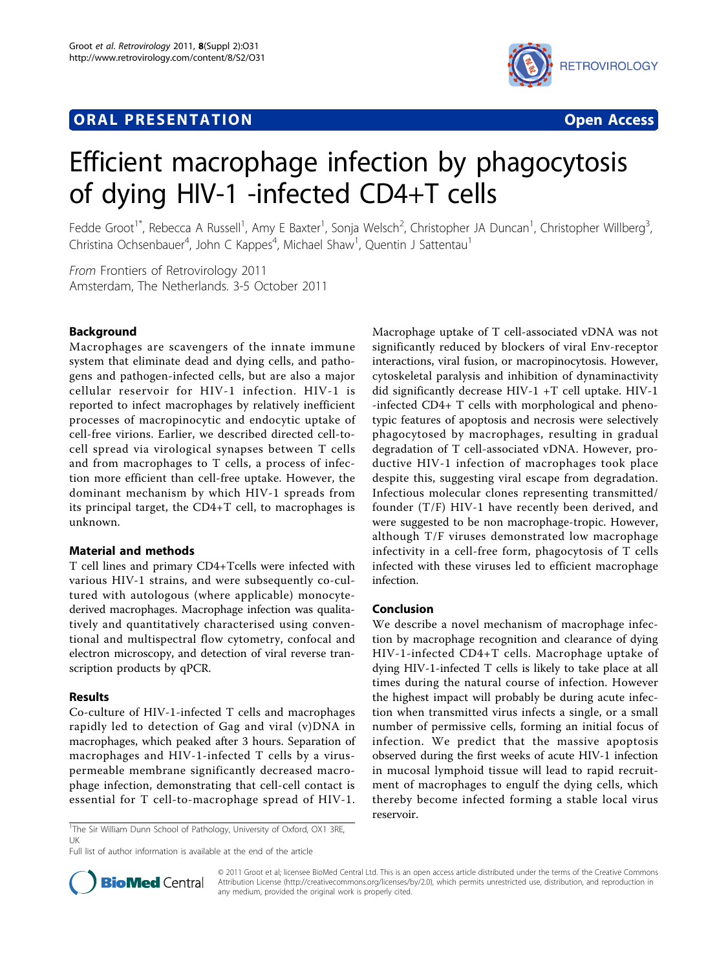# **ORAL PRESENTATION OPEN ACCESS**



# Efficient macrophage infection by phagocytosis of dying HIV-1 -infected CD4+T cells

Fedde Groot<sup>1\*</sup>, Rebecca A Russell<sup>1</sup>, Amy E Baxter<sup>1</sup>, Sonja Welsch<sup>2</sup>, Christopher JA Duncan<sup>1</sup>, Christopher Willberg<sup>3</sup> , Christina Ochsenbauer<sup>4</sup>, John C Kappes<sup>4</sup>, Michael Shaw<sup>1</sup>, Quentin J Sattentau<sup>1</sup>

From Frontiers of Retrovirology 2011 Amsterdam, The Netherlands. 3-5 October 2011

## Background

Macrophages are scavengers of the innate immune system that eliminate dead and dying cells, and pathogens and pathogen-infected cells, but are also a major cellular reservoir for HIV-1 infection. HIV-1 is reported to infect macrophages by relatively inefficient processes of macropinocytic and endocytic uptake of cell-free virions. Earlier, we described directed cell-tocell spread via virological synapses between T cells and from macrophages to T cells, a process of infection more efficient than cell-free uptake. However, the dominant mechanism by which HIV-1 spreads from its principal target, the CD4+T cell, to macrophages is unknown.

## Material and methods

T cell lines and primary CD4+Tcells were infected with various HIV-1 strains, and were subsequently co-cultured with autologous (where applicable) monocytederived macrophages. Macrophage infection was qualitatively and quantitatively characterised using conventional and multispectral flow cytometry, confocal and electron microscopy, and detection of viral reverse transcription products by qPCR.

#### Results

Co-culture of HIV-1-infected T cells and macrophages rapidly led to detection of Gag and viral (v)DNA in macrophages, which peaked after 3 hours. Separation of macrophages and HIV-1-infected T cells by a viruspermeable membrane significantly decreased macrophage infection, demonstrating that cell-cell contact is essential for T cell-to-macrophage spread of HIV-1.

Macrophage uptake of T cell-associated vDNA was not significantly reduced by blockers of viral Env-receptor interactions, viral fusion, or macropinocytosis. However, cytoskeletal paralysis and inhibition of dynaminactivity did significantly decrease HIV-1 +T cell uptake. HIV-1 -infected CD4+ T cells with morphological and phenotypic features of apoptosis and necrosis were selectively phagocytosed by macrophages, resulting in gradual degradation of T cell-associated vDNA. However, productive HIV-1 infection of macrophages took place despite this, suggesting viral escape from degradation. Infectious molecular clones representing transmitted/ founder (T/F) HIV-1 have recently been derived, and were suggested to be non macrophage-tropic. However, although T/F viruses demonstrated low macrophage infectivity in a cell-free form, phagocytosis of T cells infected with these viruses led to efficient macrophage infection.

#### Conclusion

We describe a novel mechanism of macrophage infection by macrophage recognition and clearance of dying HIV-1-infected CD4+T cells. Macrophage uptake of dying HIV-1-infected T cells is likely to take place at all times during the natural course of infection. However the highest impact will probably be during acute infection when transmitted virus infects a single, or a small number of permissive cells, forming an initial focus of infection. We predict that the massive apoptosis observed during the first weeks of acute HIV-1 infection in mucosal lymphoid tissue will lead to rapid recruitment of macrophages to engulf the dying cells, which thereby become infected forming a stable local virus reservoir.

<sup>1</sup>The Sir William Dunn School of Pathology, University of Oxford, OX1 3RE, UK

Full list of author information is available at the end of the article



© 2011 Groot et al; licensee BioMed Central Ltd. This is an open access article distributed under the terms of the Creative Commons Attribution License [\(http://creativecommons.org/licenses/by/2.0](http://creativecommons.org/licenses/by/2.0)), which permits unrestricted use, distribution, and reproduction in any medium, provided the original work is properly cited.